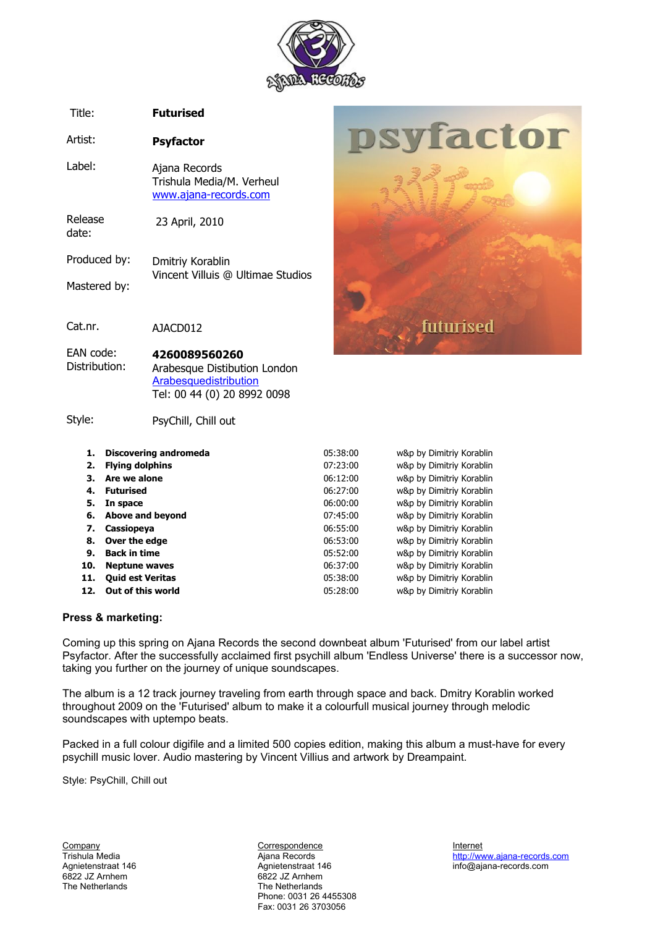

psyfactor

futurised

#### Title: **Futurised**

Artist: **Psyfactor**

Label: Ajana Records Trishula Media/M. Verheul [www.ajana-records.com](http://www.ajana-records.com/)

Release date: 23 April, 2010

Produced by: Mastered by: Dmitriy Korablin Vincent Villuis @ Ultimae Studios

Cat.nr. AJACD012

#### EAN code: Distribution: **4260089560260** Arabesque Distibution London [Arabesquedistribution](http://www.arabesquedistribution.com//index.php?option=com_artistavenue&task=singleCd&id=2158&Itemid=99999999)

Tel: 00 44 (0) 20 8992 0098

### Style:

PsyChill, Chill out

| <b>Discovering andromeda</b> | 05:38:00 | w&p by Dimitriy Korablin |
|------------------------------|----------|--------------------------|
| <b>Flying dolphins</b>       | 07:23:00 | w&p by Dimitriy Korablin |
| Are we alone                 | 06:12:00 | w&p by Dimitriy Korablin |
| <b>Futurised</b>             | 06:27:00 | w&p by Dimitriy Korablin |
| In space                     | 06:00:00 | w&p by Dimitriy Korablin |
| Above and beyond             | 07:45:00 | w&p by Dimitriy Korablin |
| Cassiopeya                   | 06:55:00 | w&p by Dimitriy Korablin |
| Over the edge                | 06:53:00 | w&p by Dimitriy Korablin |
| <b>Back in time</b>          | 05:52:00 | w&p by Dimitriy Korablin |
| <b>Neptune waves</b>         | 06:37:00 | w&p by Dimitriy Korablin |
| <b>Quid est Veritas</b>      | 05:38:00 | w&p by Dimitriy Korablin |
| Out of this world            | 05:28:00 | w&p by Dimitriy Korablin |
|                              | 11.      |                          |

## **Press & marketing:**

Coming up this spring on Ajana Records the second downbeat album 'Futurised' from our label artist Psyfactor. After the successfully acclaimed first psychill album 'Endless Universe' there is a successor now, taking you further on the journey of unique soundscapes.

The album is a 12 track journey traveling from earth through space and back. Dmitry Korablin worked throughout 2009 on the 'Futurised' album to make it a colourfull musical journey through melodic soundscapes with uptempo beats.

Packed in a full colour digifile and a limited 500 copies edition, making this album a must-have for every psychill music lover. Audio mastering by Vincent Villius and artwork by Dreampaint.

Style: PsyChill, Chill out

The Netherlands

Eompany Correspondence Company Correspondence internet internet internet internet internet internet internet internet internet internet internet internet internet internet internet internet internet internet internet inter Agnietenstraat 146 Agnietenstraat 146 info@ajana-records.com 6822 JZ Arnhem<br>The Netherlands Phone: 0031 26 4455308 Fax: 0031 26 3703056

Trishula Media **Ajana Records** Ajana Records [http://www.ajana-records.com](http://www.ajana-records.com/)<br>Agnietenstraat 146 **http://www.ajana-records.com**<br>Agnietenstraat 146 http://www.ajana-records.com